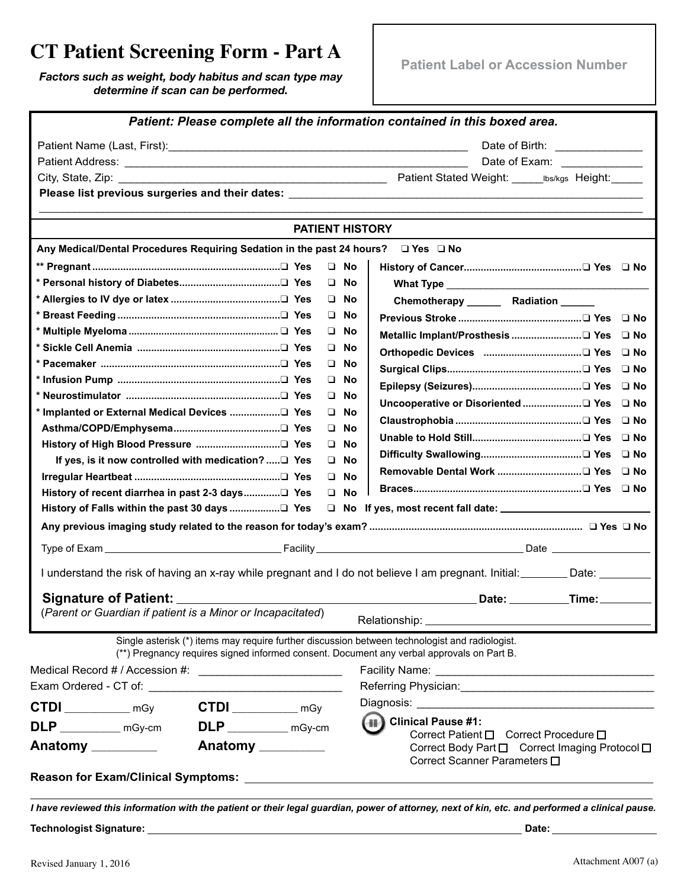## **CT Patient Screening Form - Part A**

*Factors such as weight, body habitus and scan type may determine if scan can be performed.*

|                                                                                                |           | Patient: Please complete all the information contained in this boxed area.                                       |
|------------------------------------------------------------------------------------------------|-----------|------------------------------------------------------------------------------------------------------------------|
|                                                                                                |           | Date of Birth: _______________                                                                                   |
|                                                                                                |           | Date of Exam: _______________                                                                                    |
|                                                                                                |           |                                                                                                                  |
|                                                                                                |           |                                                                                                                  |
|                                                                                                |           |                                                                                                                  |
|                                                                                                |           | <b>PATIENT HISTORY</b>                                                                                           |
| Any Medical/Dental Procedures Requiring Sedation in the past 24 hours?                         |           | $\Box$ Yes $\Box$ No                                                                                             |
|                                                                                                | $\Box$ No |                                                                                                                  |
|                                                                                                | $\Box$ No |                                                                                                                  |
|                                                                                                | $\Box$ No | Chemotherapy _______ Radiation ______                                                                            |
|                                                                                                | $\Box$ No |                                                                                                                  |
|                                                                                                | $\Box$ No |                                                                                                                  |
|                                                                                                | $\Box$ No |                                                                                                                  |
|                                                                                                | $\Box$ No | ⊟ No                                                                                                             |
|                                                                                                | $\Box$ No | ⊟ No                                                                                                             |
|                                                                                                | $\Box$ No |                                                                                                                  |
|                                                                                                | $\Box$ No | $\Box$ No                                                                                                        |
|                                                                                                | $\Box$ No | ⊟ No                                                                                                             |
|                                                                                                | $\Box$ No |                                                                                                                  |
| If yes, is it now controlled with medication? □ Yes                                            | $\Box$ No |                                                                                                                  |
|                                                                                                | $\Box$ No |                                                                                                                  |
|                                                                                                | $\Box$ No |                                                                                                                  |
|                                                                                                |           |                                                                                                                  |
|                                                                                                |           |                                                                                                                  |
|                                                                                                |           |                                                                                                                  |
|                                                                                                |           | I understand the risk of having an x-ray while pregnant and I do not believe I am pregnant. Initial: Date: Date: |
|                                                                                                |           | Date: ___________Time: ________                                                                                  |
| (Parent or Guardian if patient is a Minor or Incapacitated)                                    |           | Relationship: _                                                                                                  |
| Single asterisk (*) items may require further discussion between technologist and radiologist. |           |                                                                                                                  |
| (**) Pregnancy requires signed informed consent. Document any verbal approvals on Part B.      |           |                                                                                                                  |
|                                                                                                |           |                                                                                                                  |
|                                                                                                |           | Referring Physician: Management of the Contract of the Referring Physician:                                      |
| $CTDI$ $mgy$                                                                                   |           |                                                                                                                  |
| $CTDI$ $mgy$                                                                                   |           | (#) Clinical Pause #1:                                                                                           |
| $\mathsf{DLP}$ mGy-cm<br>$\mathsf{DLP}$ _____________ mGy-cm                                   |           | Correct Patient □ Correct Procedure □                                                                            |
| Anatomy _________<br>Anatomy _________                                                         |           | Correct Body Part □ Correct Imaging Protocol □                                                                   |
|                                                                                                |           | Correct Scanner Parameters □                                                                                     |
|                                                                                                |           | the control of the control of the control of the                                                                 |
|                                                                                                |           |                                                                                                                  |

*I have reviewed this information with the patient or their legal guardian, power of attorney, next of kin, etc. and performed a clinical pause.*

**Technologist Signature: Date:**